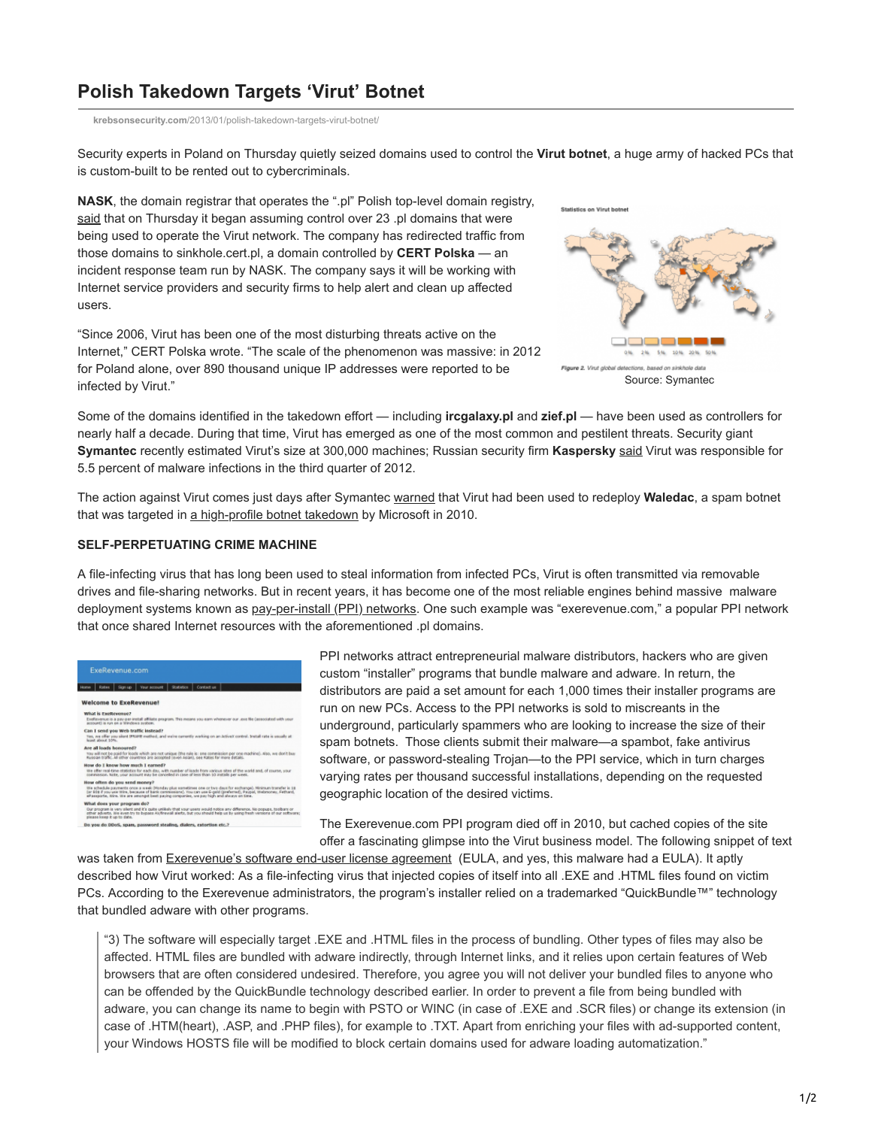## **Polish Takedown Targets 'Virut' Botnet**

**krebsonsecurity.com**[/2013/01/polish-takedown-targets-virut-botnet/](https://krebsonsecurity.com/2013/01/polish-takedown-targets-virut-botnet/)

Security experts in Poland on Thursday quietly seized domains used to control the **Virut botnet**, a huge army of hacked PCs that is custom-built to be rented out to cybercriminals.

**NASK**, the domain registrar that operates the ".pl" Polish top-level domain registry, [said](http://www.cert.pl/news/6666/langswitch_lang/en) that on Thursday it began assuming control over 23 .pl domains that were being used to operate the Virut network. The company has redirected traffic from those domains to sinkhole.cert.pl, a domain controlled by **CERT Polska** — an incident response team run by NASK. The company says it will be working with Internet service providers and security firms to help alert and clean up affected users.

"Since 2006, Virut has been one of the most disturbing threats active on the Internet," CERT Polska wrote. "The scale of the phenomenon was massive: in 2012 for Poland alone, over 890 thousand unique IP addresses were reported to be infected by Virut."



Some of the domains identified in the takedown effort — including **ircgalaxy.pl** and **zief.pl** — have been used as controllers for nearly half a decade. During that time, Virut has emerged as one of the most common and pestilent threats. Security giant **Symantec** recently estimated Virut's size at 300,000 machines; Russian security firm **Kaspersky** [said](http://www.securelist.com/en/analysis/204792255/Kaspersky_Security_Bulletin_2012_The_overall_statistics_for_2012#7) Virut was responsible for 5.5 percent of malware infections in the third quarter of 2012.

The action against Virut comes just days after Symantec [warned](http://www.symantec.com/connect/blogs/waledac-gets-cozy-virut) that Virut had been used to redeploy **Waledac**, a spam botnet that was targeted in [a high-profile botnet takedown](http://krebsonsecurity.com/2010/02/microsoft-ambushes-waledac-botnet-shutters-whistleblower-site/) by Microsoft in 2010.

## **SELF-PERPETUATING CRIME MACHINE**

A file-infecting virus that has long been used to steal information from infected PCs, Virut is often transmitted via removable drives and file-sharing networks. But in recent years, it has become one of the most reliable engines behind massive malware deployment systems known as [pay-per-install \(PPI\) networks.](http://krebsonsecurity.com/tag/pay-per-install/) One such example was "exerevenue.com," a popular PPI network that once shared Internet resources with the aforementioned .pl domains.

|                  | ExeRevenue.com                                                                                                                                                                                                                                                                                                                    |
|------------------|-----------------------------------------------------------------------------------------------------------------------------------------------------------------------------------------------------------------------------------------------------------------------------------------------------------------------------------|
| <b>Home</b>      | <b>Your account</b><br>Shabistics<br>Contact us:<br>Sign up :<br><b>Rotes</b>                                                                                                                                                                                                                                                     |
|                  | <b>Welcome to ExeRevenue!</b>                                                                                                                                                                                                                                                                                                     |
|                  | What is ExeRevenue?                                                                                                                                                                                                                                                                                                               |
|                  | Exellevenue is a pay-per-install affiliate program. This means you earn whenever our uses file (associated with your<br>account) is non on a Windows system.                                                                                                                                                                      |
|                  | Can I send you web traffic instead?                                                                                                                                                                                                                                                                                               |
| least about 10%. | Yes, we offer you slent IPRAFE method, and we're currently working on an AdiveX control. Yestall rate is usually at                                                                                                                                                                                                               |
|                  | Are all loads bonoured?                                                                                                                                                                                                                                                                                                           |
|                  | trau will not be paid for loads which are not unique (the rule is: one commission per one machine). Also, we don't buy<br>Russian traffic, All other countries are accepted (eyen Asian), see Rabes for more details.                                                                                                             |
|                  | How do I know how much I earned?                                                                                                                                                                                                                                                                                                  |
|                  | We offer real-time statistics for each day, with number of loads from various sites of the world and, of course, your<br>commission, hote, your account may be canceled in case of less than 10 installs per week.                                                                                                                |
|                  | How often do you send money?                                                                                                                                                                                                                                                                                                      |
|                  | We othedule gayments once a week (Honday plus sometimes one or two days for exchange). Minimum transfer is 18<br>(or \$08 if you use Wire, because of bank commissions). You can use 6-gold (preferred), Paypal, theoretoney, Fethard,<br>ePassporte, Wine, We are amongst best paying companies, we gay high and always on time. |
|                  | What does your program do?                                                                                                                                                                                                                                                                                                        |
|                  | Our program is very silent and it's quite unlikely that your users would notice any difference, his popupe, toolbars or<br>other adverts, it's even try to bypans AV/finaval alerts, but you should help us by using fresh versions of our software<br>please losep it up to date.                                                |
|                  | Do you do DDoS, spars, password stealing, dialers, extortion etc.?                                                                                                                                                                                                                                                                |

PPI networks attract entrepreneurial malware distributors, hackers who are given custom "installer" programs that bundle malware and adware. In return, the distributors are paid a set amount for each 1,000 times their installer programs are run on new PCs. Access to the PPI networks is sold to miscreants in the underground, particularly spammers who are looking to increase the size of their spam botnets. Those clients submit their malware—a spambot, fake antivirus software, or password-stealing Trojan—to the PPI service, which in turn charges varying rates per thousand successful installations, depending on the requested geographic location of the desired victims.

The Exerevenue.com PPI program died off in 2010, but cached copies of the site offer a fascinating glimpse into the Virut business model. The following snippet of text

was taken from [Exerevenue's software end-user license agreement](http://web.archive.org/web/20090209064643/http://exerevenue.com/eula.txt) (EULA, and yes, this malware had a EULA). It aptly described how Virut worked: As a file-infecting virus that injected copies of itself into all .EXE and .HTML files found on victim PCs. According to the Exerevenue administrators, the program's installer relied on a trademarked "QuickBundle™" technology that bundled adware with other programs.

"3) The software will especially target .EXE and .HTML files in the process of bundling. Other types of files may also be affected. HTML files are bundled with adware indirectly, through Internet links, and it relies upon certain features of Web browsers that are often considered undesired. Therefore, you agree you will not deliver your bundled files to anyone who can be offended by the QuickBundle technology described earlier. In order to prevent a file from being bundled with adware, you can change its name to begin with PSTO or WINC (in case of .EXE and .SCR files) or change its extension (in case of .HTM(heart), .ASP, and .PHP files), for example to .TXT. Apart from enriching your files with ad-supported content, your Windows HOSTS file will be modified to block certain domains used for adware loading automatization."